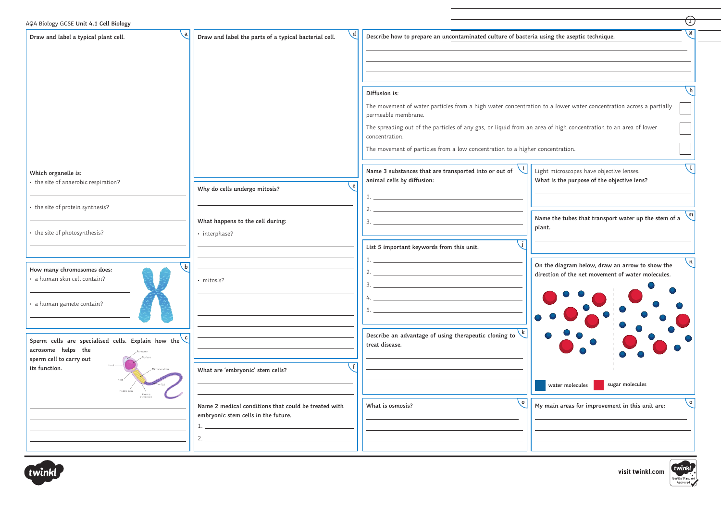| Draw and label a typical plant cell.                                                              | $\mathsf{d}$<br>Draw and label the parts of a typical bacterial cell.                       | Describe how to prepare an uncontaminated culture of bacteria using the aseptic technique.                                               |                                                                                        |
|---------------------------------------------------------------------------------------------------|---------------------------------------------------------------------------------------------|------------------------------------------------------------------------------------------------------------------------------------------|----------------------------------------------------------------------------------------|
|                                                                                                   |                                                                                             |                                                                                                                                          |                                                                                        |
|                                                                                                   |                                                                                             | Diffusion is:                                                                                                                            |                                                                                        |
|                                                                                                   |                                                                                             | The movement of water particles from a high water concentration to a lower water concentration across a partially<br>permeable membrane. |                                                                                        |
|                                                                                                   |                                                                                             | The spreading out of the particles of any gas, or liquid from an area of high concentration to an area of lower<br>concentration.        |                                                                                        |
|                                                                                                   |                                                                                             | The movement of particles from a low concentration to a higher concentration.                                                            |                                                                                        |
| Which organelle is:<br>• the site of anaerobic respiration?                                       | Why do cells undergo mitosis?                                                               | Name 3 substances that are transported into or out of<br>animal cells by diffusion:                                                      | Light microscopes have objective lenses.<br>What is the purpose of the objective lens? |
| • the site of protein synthesis?                                                                  |                                                                                             |                                                                                                                                          | Name the tubes that transport water up the stem of a                                   |
| • the site of photosynthesis?                                                                     | What happens to the cell during:<br>· interphase?                                           |                                                                                                                                          | plant.                                                                                 |
| h                                                                                                 |                                                                                             | List 5 important keywords from this unit.                                                                                                | On the diagram below, draw an arrow to show the                                        |
| How many chromosomes does:<br>· a human skin cell contain?                                        | mitosis?                                                                                    |                                                                                                                                          | direction of the net movement of water molecules.                                      |
| a human gamete contain?                                                                           |                                                                                             |                                                                                                                                          |                                                                                        |
| Sperm cells are specialised cells. Explain how the $\bigcup_{n=1}^{\infty}$<br>acrosome helps the |                                                                                             | Describe an advantage of using therapeutic cloning to $\overline{k}$<br>treat disease.                                                   |                                                                                        |
| sperm cell to carry out<br>its function.                                                          | What are 'embryonic' stem cells?                                                            |                                                                                                                                          | sugar molecules<br>water molecules                                                     |
| Middle piece                                                                                      | Name 2 medical conditions that could be treated with<br>embryonic stem cells in the future. | $\mathsf{Q}$<br>What is osmosis?                                                                                                         | My main areas for improvement in this unit are:                                        |
|                                                                                                   |                                                                                             |                                                                                                                                          |                                                                                        |
|                                                                                                   |                                                                                             |                                                                                                                                          |                                                                                        |

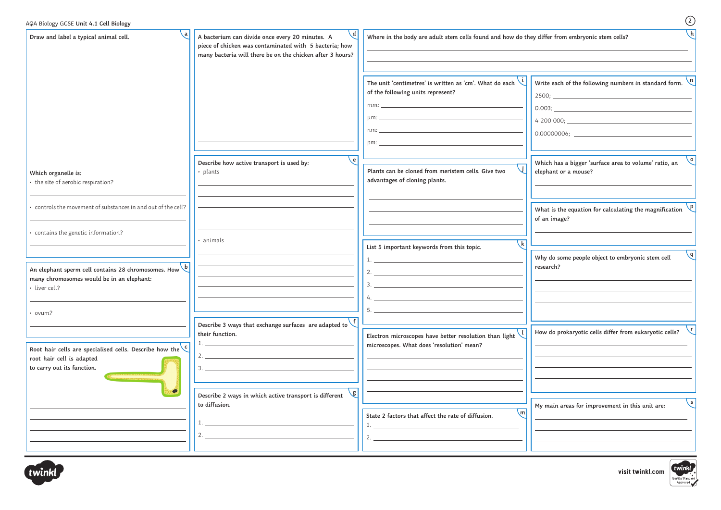| Write each of the following numbers in standard form.<br>The unit 'centimetres' is written as 'cm'. What do each<br>of the following units represent?<br>e  <br>Which has a bigger 'surface area to volume' ratio, an<br>Describe how active transport is used by:<br>Plants can be cloned from meristem cells. Give two<br>elephant or a mouse?<br>• plants<br>advantages of cloning plants.<br>What is the equation for calculating the magnification<br>of an image?<br>· animals<br>$\overline{k}$<br>List 5 important keywords from this topic.<br>Why do some people object to embryonic stem cell<br>research?<br>2.<br>Describe 3 ways that exchange surfaces are adapted to $\setminus$<br>How do prokaryotic cells differ from eukaryotic cells?<br>their function.<br>Electron microscopes have better resolution than light<br>microscopes. What does 'resolution' mean?<br>$\bullet$<br><b>\g </b><br>Describe 2 ways in which active transport is different<br>to diffusion.<br>My main areas for improvement in this unit are:<br>$\lfloor m \rfloor$<br>State 2 factors that affect the rate of diffusion.<br>2. | Draw and label a typical animal cell.                     | $\mathcal{A}$<br>A bacterium can divide once every 20 minutes. A<br>piece of chicken was contaminated with 5 bacteria; how<br>many bacteria will there be on the chicken after 3 hours? | $\lfloor h \rfloor$<br>Where in the body are adult stem cells found and how do they differ from embryonic stem cells? |  |  |
|----------------------------------------------------------------------------------------------------------------------------------------------------------------------------------------------------------------------------------------------------------------------------------------------------------------------------------------------------------------------------------------------------------------------------------------------------------------------------------------------------------------------------------------------------------------------------------------------------------------------------------------------------------------------------------------------------------------------------------------------------------------------------------------------------------------------------------------------------------------------------------------------------------------------------------------------------------------------------------------------------------------------------------------------------------------------------------------------------------------------------------|-----------------------------------------------------------|-----------------------------------------------------------------------------------------------------------------------------------------------------------------------------------------|-----------------------------------------------------------------------------------------------------------------------|--|--|
| $\sqrt{6}$<br>· controls the movement of substances in and out of the cell?<br>· contains the genetic information?                                                                                                                                                                                                                                                                                                                                                                                                                                                                                                                                                                                                                                                                                                                                                                                                                                                                                                                                                                                                               |                                                           |                                                                                                                                                                                         |                                                                                                                       |  |  |
| · liver cell?<br>• ovum?                                                                                                                                                                                                                                                                                                                                                                                                                                                                                                                                                                                                                                                                                                                                                                                                                                                                                                                                                                                                                                                                                                         | Which organelle is:<br>• the site of aerobic respiration? |                                                                                                                                                                                         |                                                                                                                       |  |  |
| $\sqrt{q}$                                                                                                                                                                                                                                                                                                                                                                                                                                                                                                                                                                                                                                                                                                                                                                                                                                                                                                                                                                                                                                                                                                                       |                                                           |                                                                                                                                                                                         |                                                                                                                       |  |  |
| An elephant sperm cell contains 28 chromosomes. How $\overline{b}$<br>many chromosomes would be in an elephant:<br>root hair cell is adapted<br>to carry out its function.                                                                                                                                                                                                                                                                                                                                                                                                                                                                                                                                                                                                                                                                                                                                                                                                                                                                                                                                                       |                                                           |                                                                                                                                                                                         |                                                                                                                       |  |  |
| Root hair cells are specialised cells. Describe how the $\zeta$                                                                                                                                                                                                                                                                                                                                                                                                                                                                                                                                                                                                                                                                                                                                                                                                                                                                                                                                                                                                                                                                  |                                                           |                                                                                                                                                                                         |                                                                                                                       |  |  |
| 、S I                                                                                                                                                                                                                                                                                                                                                                                                                                                                                                                                                                                                                                                                                                                                                                                                                                                                                                                                                                                                                                                                                                                             |                                                           |                                                                                                                                                                                         |                                                                                                                       |  |  |
|                                                                                                                                                                                                                                                                                                                                                                                                                                                                                                                                                                                                                                                                                                                                                                                                                                                                                                                                                                                                                                                                                                                                  |                                                           |                                                                                                                                                                                         |                                                                                                                       |  |  |
|                                                                                                                                                                                                                                                                                                                                                                                                                                                                                                                                                                                                                                                                                                                                                                                                                                                                                                                                                                                                                                                                                                                                  |                                                           |                                                                                                                                                                                         |                                                                                                                       |  |  |
|                                                                                                                                                                                                                                                                                                                                                                                                                                                                                                                                                                                                                                                                                                                                                                                                                                                                                                                                                                                                                                                                                                                                  |                                                           |                                                                                                                                                                                         |                                                                                                                       |  |  |

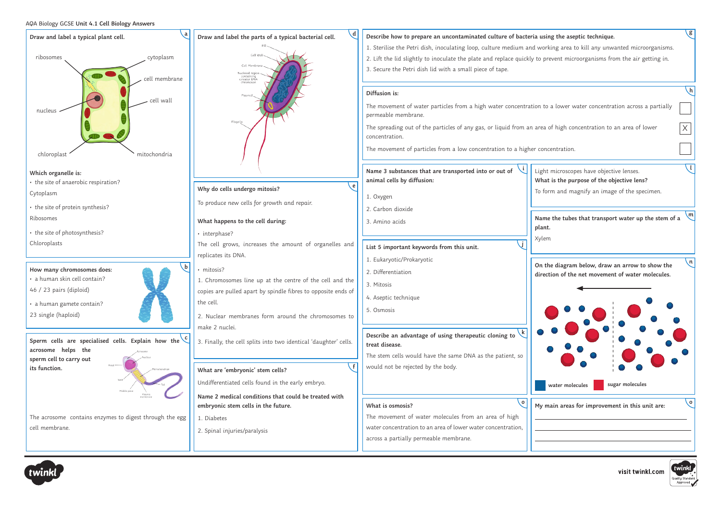## AQA Biology GCSE **Unit 4.1 Cell Biology Answers**